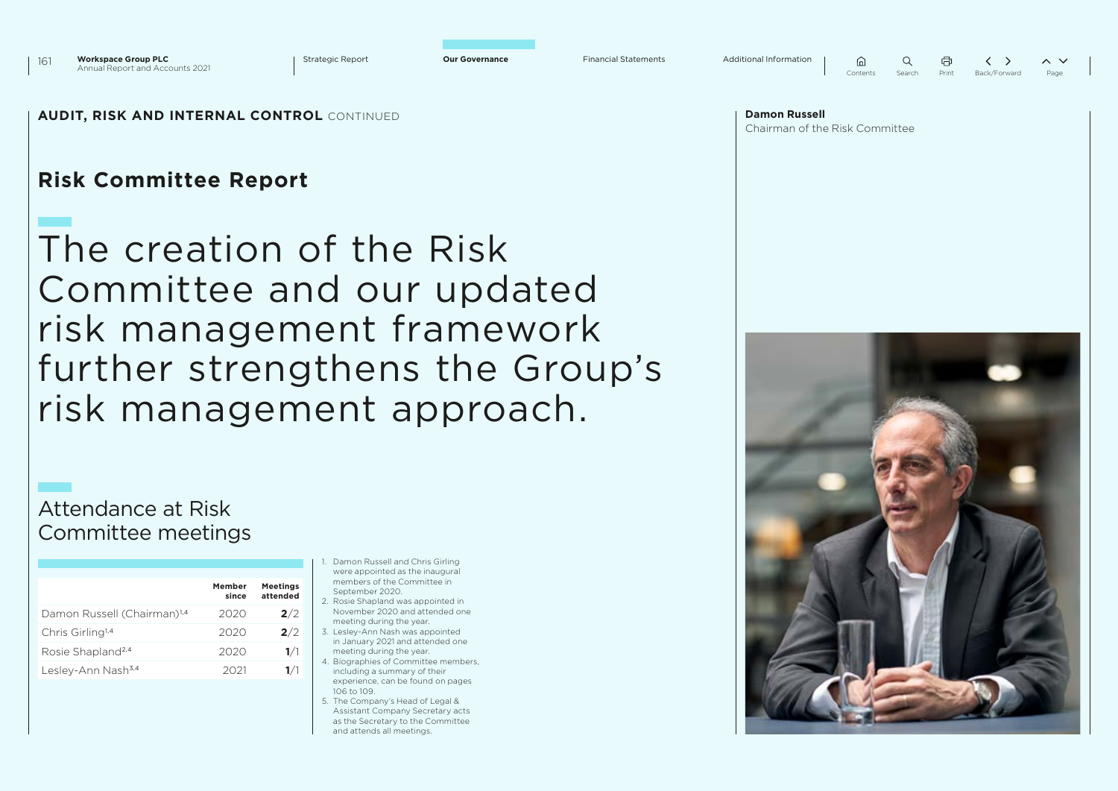Strategic Report **Our Governance** Financial Statements Additional Information  $\bigcap$  $\bigcap$ Contents Sear

|    | A     |              | $\checkmark$<br>⌒ |
|----|-------|--------------|-------------------|
| ۰h | Print | Back/Forward | Page              |

### **AUDIT, RISK AND INTERNAL CONTROL** CONTINUED

# **Risk Committee Report**

# The creation of the Risk Committee and our updated risk management framework further strengthens the Group's risk management approach.

# Attendance at Risk Committee meetings

|                                         | Member<br>since | <b>Meetings</b><br>attended |
|-----------------------------------------|-----------------|-----------------------------|
| Damon Russell (Chairman) <sup>1,4</sup> | 2020            | 2/2                         |
| Chris Girling <sup>1,4</sup>            | 2020            | 2/2                         |
| Rosie Shapland <sup>2,4</sup>           | 2020            | 1/1                         |
| Lesley-Ann Nash <sup>3,4</sup>          | 2021            | 1/1                         |

- 1. Damon Russell and Chris Girling were appointed as the inaugural members of the Committee in September 2020
- 2. Rosie Shapland was appointed in November 2020 and attended one meeting during the year.
- 3. Lesley-Ann Nash was appointed in January 2021 and attended one meeting during the year.
- 4. Biographies of Committee members, including a summary of their experience, can be found on pages 106 to 109.
- 5. The Company's Head of Legal & Assistant Company Secretary acts as the Secretary to the Committee and attends all meetings.

| <b>Damon Russell</b>           |  |  |
|--------------------------------|--|--|
| Chairman of the Risk Committee |  |  |

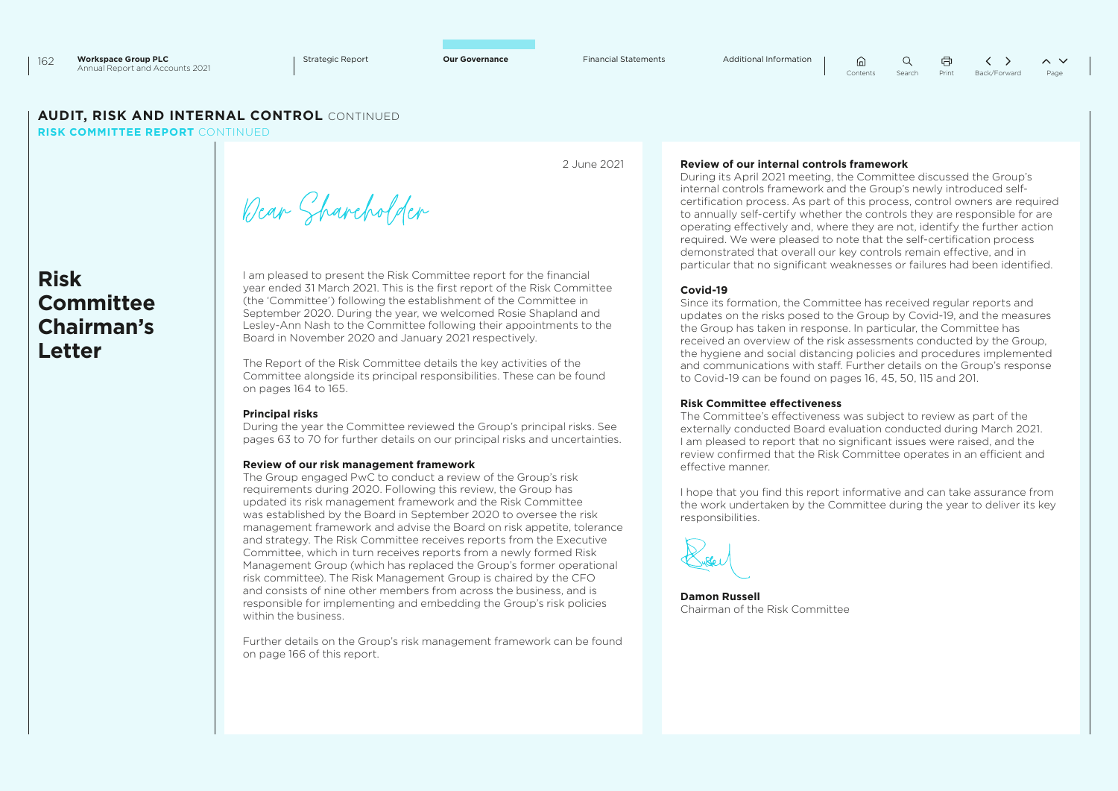2 June 2021

 $\langle \rangle$  $\Omega$  $\sim$   $\vee$ Contents Search Print Back/Forward Page

### **AUDIT, RISK AND INTERNAL CONTROL** CONTINUED

**RISK COMMITTEE REPORT** CONTINUED

**Risk Committee Chairman's Letter**

Dear Shareholder

I am pleased to present the Risk Committee report for the financial year ended 31 March 2021. This is the first report of the Risk Committee (the 'Committee') following the establishment of the Committee in September 2020. During the year, we welcomed Rosie Shapland and Lesley-Ann Nash to the Committee following their appointments to the Board in November 2020 and January 2021 respectively.

The Report of the Risk Committee details the key activities of the Committee alongside its principal responsibilities. These can be found on pages 164 to 165.

#### **Principal risks**

During the year the Committee reviewed the Group's principal risks. See pages 63 to 70 for further details on our principal risks and uncertainties.

#### **Review of our risk management framework**

The Group engaged PwC to conduct a review of the Group's risk requirements during 2020. Following this review, the Group has updated its risk management framework and the Risk Committee was established by the Board in September 2020 to oversee the risk management framework and advise the Board on risk appetite, tolerance and strategy. The Risk Committee receives reports from the Executive Committee, which in turn receives reports from a newly formed Risk Management Group (which has replaced the Group's former operational risk committee). The Risk Management Group is chaired by the CFO and consists of nine other members from across the business, and is responsible for implementing and embedding the Group's risk policies within the business.

Further details on the Group's risk management framework can be found on page 166 of this report.

#### **Review of our internal controls framework**

During its April 2021 meeting, the Committee discussed the Group's internal controls framework and the Group's newly introduced selfcertification process. As part of this process, control owners are required to annually self-certify whether the controls they are responsible for are operating effectively and, where they are not, identify the further action required. We were pleased to note that the self-certification process demonstrated that overall our key controls remain effective, and in particular that no significant weaknesses or failures had been identified.

 $\bigcap$ 

#### **Covid-19**

Since its formation, the Committee has received regular reports and updates on the risks posed to the Group by Covid-19, and the measures the Group has taken in response. In particular, the Committee has received an overview of the risk assessments conducted by the Group, the hygiene and social distancing policies and procedures implemented and communications with staff. Further details on the Group's response to Covid-19 can be found on pages 16, 45, 50, 115 and 201.

#### **Risk Committee effectiveness**

The Committee's effectiveness was subject to review as part of the externally conducted Board evaluation conducted during March 2021. I am pleased to report that no significant issues were raised, and the review confirmed that the Risk Committee operates in an efficient and effective manner.

I hope that you find this report informative and can take assurance from the work undertaken by the Committee during the year to deliver its key responsibilities.

**Damon Russell** Chairman of the Risk Committee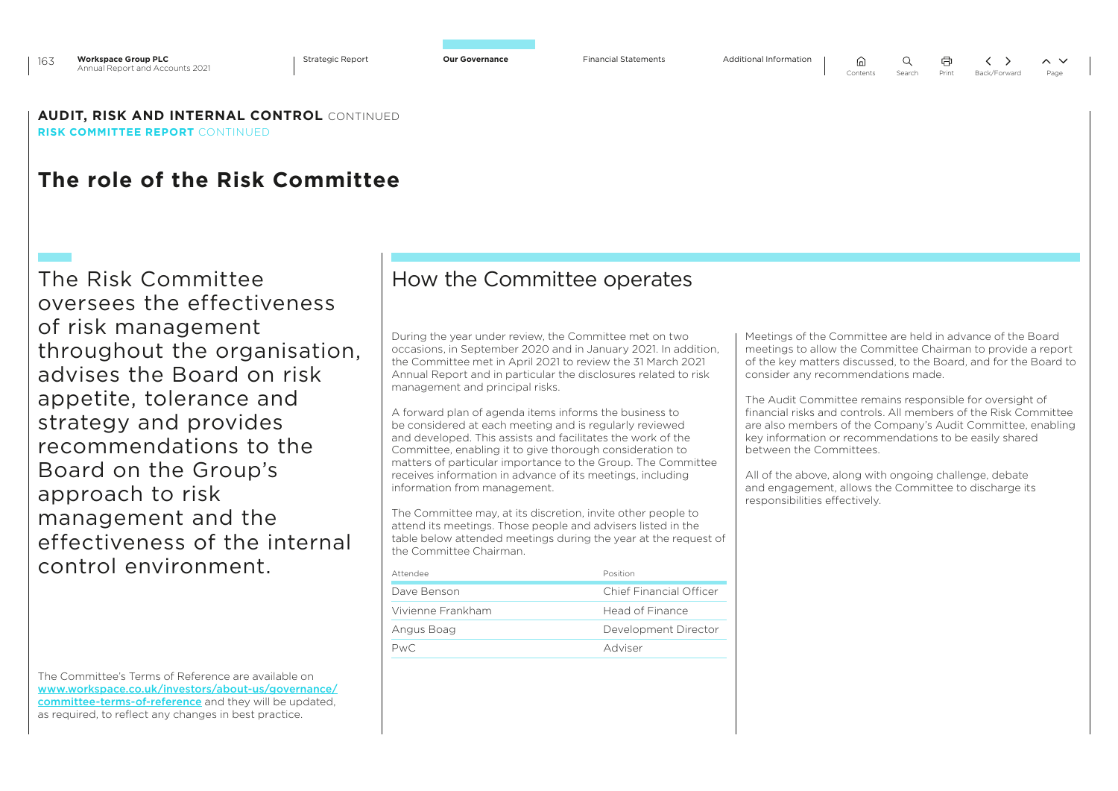$\bigcap$ Contents Search Print Back/Forward Page

**AUDIT, RISK AND INTERNAL CONTROL** CONTINUED **RISK COMMITTEE REPORT** CONTINUED

# **The role of the Risk Committee**

The Risk Committee oversees the effectiveness of risk management throughout the organisation, advises the Board on risk appetite, tolerance and strategy and provides recommendations to the Board on the Group's approach to risk management and the effectiveness of the internal control environment.

The Committee's Terms of Reference are available on [www.workspace.co.uk/investors/about-us/governance/](http://www.workspace.co.uk/investors/about-us/governance/committee-terms-of-reference) [committee-terms-of-reference](http://www.workspace.co.uk/investors/about-us/governance/committee-terms-of-reference) and they will be updated, as required, to reflect any changes in best practice.

## How the Committee operates

During the year under review, the Committee met on two occasions, in September 2020 and in January 2021. In addition, the Committee met in April 2021 to review the 31 March 2021 Annual Report and in particular the disclosures related to risk management and principal risks.

A forward plan of agenda items informs the business to be considered at each meeting and is regularly reviewed and developed. This assists and facilitates the work of the Committee, enabling it to give thorough consideration to matters of particular importance to the Group. The Committee receives information in advance of its meetings, including information from management.

The Committee may, at its discretion, invite other people to attend its meetings. Those people and advisers listed in the table below attended meetings during the year at the request of the Committee Chairman.

| Attendee          | Position                |  |
|-------------------|-------------------------|--|
| Dave Benson       | Chief Financial Officer |  |
| Vivienne Frankham | Head of Finance         |  |
| Angus Boag        | Development Director    |  |
| PwC.              | Adviser                 |  |
|                   |                         |  |

Meetings of the Committee are held in advance of the Board meetings to allow the Committee Chairman to provide a report of the key matters discussed, to the Board, and for the Board to consider any recommendations made.

The Audit Committee remains responsible for oversight of financial risks and controls. All members of the Risk Committee are also members of the Company's Audit Committee, enabling key information or recommendations to be easily shared between the Committees.

All of the above, along with ongoing challenge, debate and engagement, allows the Committee to discharge its responsibilities effectively.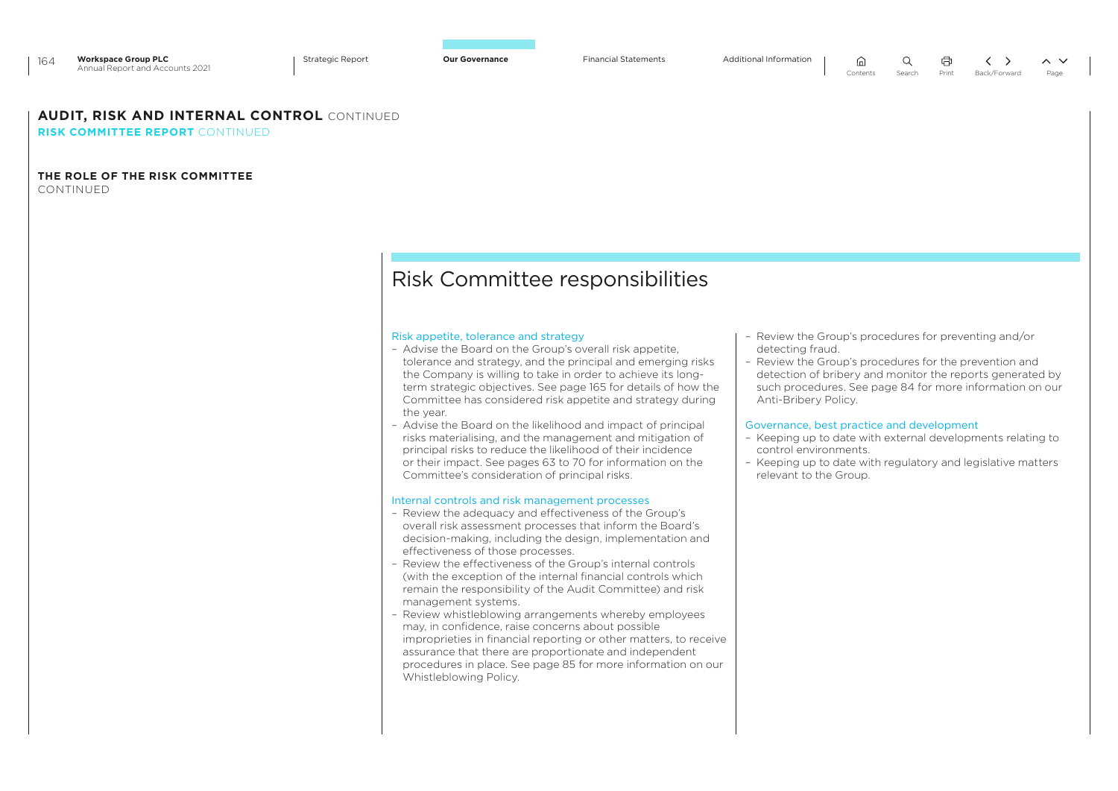### **AUDIT, RISK AND INTERNAL CONTROL** CONTINUED

**RISK COMMITTEE REPORT** CONTINUED

### **THE ROLE OF THE RISK COMMITTEE**

CONTINUED

# Risk Committee responsibilities

#### Risk appetite, tolerance and strategy

- Advise the Board on the Group's overall risk appetite, tolerance and strategy, and the principal and emerging risks the Company is willing to take in order to achieve its longterm strategic objectives. See page 165 for details of how the Committee has considered risk appetite and strategy during the year.
- Advise the Board on the likelihood and impact of principal risks materialising, and the management and mitigation of principal risks to reduce the likelihood of their incidence or their impact. See pages 63 to 70 for information on the Committee's consideration of principal risks.

#### Internal controls and risk management processes

- Review the adequacy and effectiveness of the Group's overall risk assessment processes that inform the Board's decision-making, including the design, implementation and effectiveness of those processes.
- Review the effectiveness of the Group's internal controls (with the exception of the internal financial controls which remain the responsibility of the Audit Committee) and risk management systems.
- Review whistleblowing arrangements whereby employees may, in confidence, raise concerns about possible improprieties in financial reporting or other matters, to receive assurance that there are proportionate and independent procedures in place. See page 85 for more information on our Whistleblowing Policy.
- Review the Group's procedures for preventing and/or detecting fraud.
- Review the Group's procedures for the prevention and detection of bribery and monitor the reports generated by such procedures. See page 84 for more information on our Anti-Bribery Policy.

#### Governance, best practice and development

⋒

- Keeping up to date with external developments relating to control environments.
- Keeping up to date with regulatory and legislative matters relevant to the Group.

 $\langle \rangle$ 

 $\sim$   $\vee$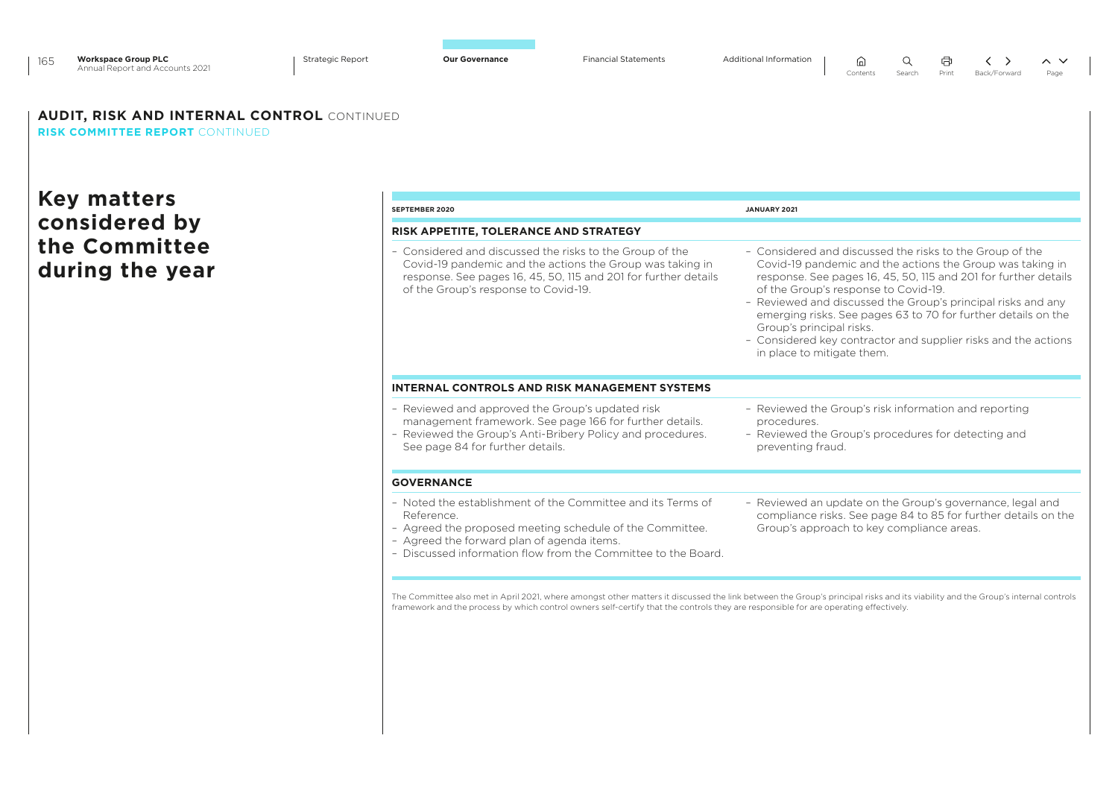| <b>Workspace Group PLC</b><br>165<br>Annual Report and Accounts 2021<br><b>AUDIT, RISK AND INTERNAL CONTROL CONTINUED</b> | <b>Strategic Report</b> | <b>Our Governance</b>                                                                                                                                                                                                                               | <b>Financial Statements</b> | Additional Information<br>Q<br>而<br>$\sim$ $\vee$<br>Contents<br>Search<br>Print<br>Back/Forward<br>Page                                                                                                                                                                                                                                                                                                                                                                                      |
|---------------------------------------------------------------------------------------------------------------------------|-------------------------|-----------------------------------------------------------------------------------------------------------------------------------------------------------------------------------------------------------------------------------------------------|-----------------------------|-----------------------------------------------------------------------------------------------------------------------------------------------------------------------------------------------------------------------------------------------------------------------------------------------------------------------------------------------------------------------------------------------------------------------------------------------------------------------------------------------|
| <b>RISK COMMITTEE REPORT CONTINUED</b>                                                                                    |                         |                                                                                                                                                                                                                                                     |                             |                                                                                                                                                                                                                                                                                                                                                                                                                                                                                               |
|                                                                                                                           |                         |                                                                                                                                                                                                                                                     |                             |                                                                                                                                                                                                                                                                                                                                                                                                                                                                                               |
| <b>Key matters</b>                                                                                                        |                         | SEPTEMBER 2020                                                                                                                                                                                                                                      |                             | JANUARY 2021                                                                                                                                                                                                                                                                                                                                                                                                                                                                                  |
| considered by                                                                                                             |                         | RISK APPETITE, TOLERANCE AND STRATEGY                                                                                                                                                                                                               |                             |                                                                                                                                                                                                                                                                                                                                                                                                                                                                                               |
| the Committee<br>during the year                                                                                          |                         | - Considered and discussed the risks to the Group of the<br>Covid-19 pandemic and the actions the Group was taking in<br>response. See pages 16, 45, 50, 115 and 201 for further details<br>of the Group's response to Covid-19.                    |                             | - Considered and discussed the risks to the Group of the<br>Covid-19 pandemic and the actions the Group was taking in<br>response. See pages 16, 45, 50, 115 and 201 for further details<br>of the Group's response to Covid-19.<br>- Reviewed and discussed the Group's principal risks and any<br>emerging risks. See pages 63 to 70 for further details on the<br>Group's principal risks.<br>- Considered key contractor and supplier risks and the actions<br>in place to mitigate them. |
|                                                                                                                           |                         | <b>INTERNAL CONTROLS AND RISK MANAGEMENT SYSTEMS</b>                                                                                                                                                                                                |                             |                                                                                                                                                                                                                                                                                                                                                                                                                                                                                               |
|                                                                                                                           |                         | - Reviewed and approved the Group's updated risk<br>management framework. See page 166 for further details.<br>- Reviewed the Group's Anti-Bribery Policy and procedures.<br>See page 84 for further details.                                       |                             | - Reviewed the Group's risk information and reporting<br>procedures.<br>- Reviewed the Group's procedures for detecting and<br>preventing fraud.                                                                                                                                                                                                                                                                                                                                              |
|                                                                                                                           |                         | <b>GOVERNANCE</b>                                                                                                                                                                                                                                   |                             |                                                                                                                                                                                                                                                                                                                                                                                                                                                                                               |
|                                                                                                                           |                         | - Noted the establishment of the Committee and its Terms of<br>Reference<br>- Agreed the proposed meeting schedule of the Committee.<br>- Agreed the forward plan of agenda items.<br>- Discussed information flow from the Committee to the Board. |                             | - Reviewed an update on the Group's governance, legal and<br>compliance risks. See page 84 to 85 for further details on the<br>Group's approach to key compliance areas.                                                                                                                                                                                                                                                                                                                      |
|                                                                                                                           |                         |                                                                                                                                                                                                                                                     |                             | The Committee also met in April 2021, where amongst other matters it discussed the link between the Group's principal risks and its viability and the Group's internal controls<br>framework and the process by which control owners self-certify that the controls they are responsible for are operating effectively.                                                                                                                                                                       |